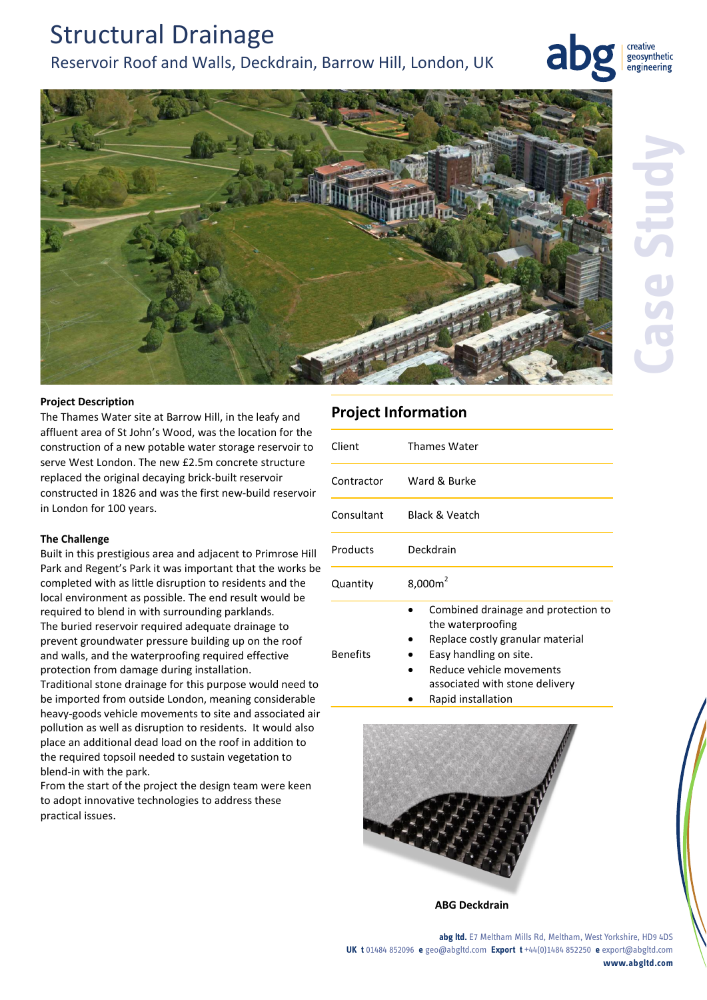## Structural Drainage Reservoir Roof and Walls, Deckdrain, Barrow Hill, London, UK





The Thames Water site at Barrow Hill, in the leafy and affluent area of St John's Wood, was the location for the construction of a new potable water storage reservoir to serve West London. The new £2.5m concrete structure replaced the original decaying brick-built reservoir constructed in 1826 and was the first new-build reservoir in London for 100 years.

#### **The Challenge**

Built in this prestigious area and adjacent to Primrose Hill Park and Regent's Park it was important that the works be completed with as little disruption to residents and the local environment as possible. The end result would be required to blend in with surrounding parklands. The buried reservoir required adequate drainage to prevent groundwater pressure building up on the roof and walls, and the waterproofing required effective protection from damage during installation.

Traditional stone drainage for this purpose would need to be imported from outside London, meaning considerable heavy-goods vehicle movements to site and associated air pollution as well as disruption to residents. It would also place an additional dead load on the roof in addition to the required topsoil needed to sustain vegetation to blend-in with the park.

From the start of the project the design team were keen to adopt innovative technologies to address these practical issues.

### **Project Information**

| Client          | <b>Thames Water</b>                                                                                                                                                                                        |
|-----------------|------------------------------------------------------------------------------------------------------------------------------------------------------------------------------------------------------------|
| Contractor      | Ward & Burke                                                                                                                                                                                               |
| Consultant      | <b>Black &amp; Veatch</b>                                                                                                                                                                                  |
| Products        | Deckdrain                                                                                                                                                                                                  |
| Quantity        | $8,000m^2$                                                                                                                                                                                                 |
| <b>Benefits</b> | Combined drainage and protection to<br>the waterproofing<br>Replace costly granular material<br>Easy handling on site.<br>Reduce vehicle movements<br>associated with stone delivery<br>Rapid installation |



**ABG Deckdrain**

**abg ltd.** E7 Meltham Mills Rd, Meltham, West Yorkshire, HD9 4DS **UK t** 01484 852096 **e** geo@abgltd.com **Export t** +44(0)1484 852250 **e** export@abgltd.com **www.abgltd.com**